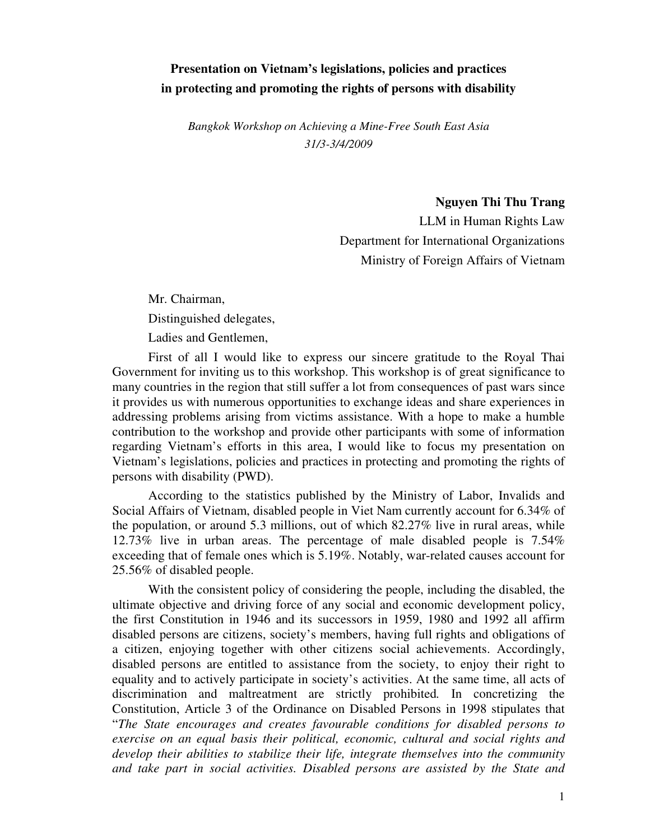## **Presentation on Vietnam's legislations, policies and practices in protecting and promoting the rights of persons with disability**

*Bangkok Workshop on Achieving a Mine-Free South East Asia 31/3-3/4/2009*

 **Nguyen Thi Thu Trang** 

LLM in Human Rights Law Department for International Organizations Ministry of Foreign Affairs of Vietnam

Mr. Chairman, Distinguished delegates, Ladies and Gentlemen,

First of all I would like to express our sincere gratitude to the Royal Thai Government for inviting us to this workshop. This workshop is of great significance to many countries in the region that still suffer a lot from consequences of past wars since it provides us with numerous opportunities to exchange ideas and share experiences in addressing problems arising from victims assistance. With a hope to make a humble contribution to the workshop and provide other participants with some of information regarding Vietnam's efforts in this area, I would like to focus my presentation on Vietnam's legislations, policies and practices in protecting and promoting the rights of persons with disability (PWD).

According to the statistics published by the Ministry of Labor, Invalids and Social Affairs of Vietnam, disabled people in Viet Nam currently account for 6.34% of the population, or around 5.3 millions, out of which 82.27% live in rural areas, while 12.73% live in urban areas. The percentage of male disabled people is 7.54% exceeding that of female ones which is 5.19%. Notably, war-related causes account for 25.56% of disabled people.

With the consistent policy of considering the people, including the disabled, the ultimate objective and driving force of any social and economic development policy, the first Constitution in 1946 and its successors in 1959, 1980 and 1992 all affirm disabled persons are citizens, society's members, having full rights and obligations of a citizen, enjoying together with other citizens social achievements. Accordingly, disabled persons are entitled to assistance from the society, to enjoy their right to equality and to actively participate in society's activities. At the same time, all acts of discrimination and maltreatment are strictly prohibited*.* In concretizing the Constitution, Article 3 of the Ordinance on Disabled Persons in 1998 stipulates that "*The State encourages and creates favourable conditions for disabled persons to exercise on an equal basis their political, economic, cultural and social rights and develop their abilities to stabilize their life, integrate themselves into the community and take part in social activities. Disabled persons are assisted by the State and*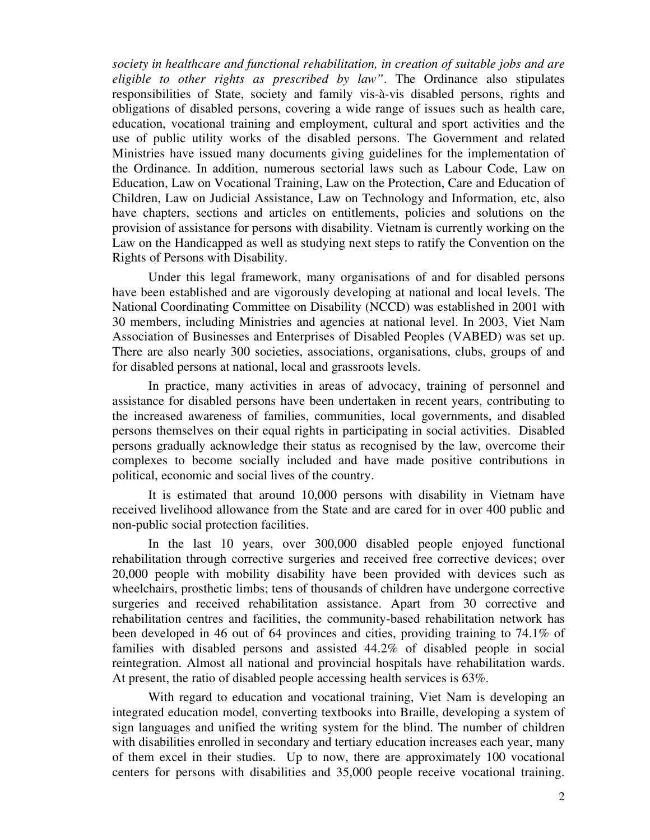*society in healthcare and functional rehabilitation, in creation of suitable jobs and are eligible to other rights as prescribed by law"*. The Ordinance also stipulates responsibilities of State, society and family vis-à-vis disabled persons, rights and obligations of disabled persons, covering a wide range of issues such as health care, education, vocational training and employment, cultural and sport activities and the use of public utility works of the disabled persons. The Government and related Ministries have issued many documents giving guidelines for the implementation of the Ordinance. In addition, numerous sectorial laws such as Labour Code, Law on Education, Law on Vocational Training, Law on the Protection, Care and Education of Children, Law on Judicial Assistance, Law on Technology and Information, etc, also have chapters, sections and articles on entitlements, policies and solutions on the provision of assistance for persons with disability. Vietnam is currently working on the Law on the Handicapped as well as studying next steps to ratify the Convention on the Rights of Persons with Disability.

Under this legal framework, many organisations of and for disabled persons have been established and are vigorously developing at national and local levels. The National Coordinating Committee on Disability (NCCD) was established in 2001 with 30 members, including Ministries and agencies at national level. In 2003, Viet Nam Association of Businesses and Enterprises of Disabled Peoples (VABED) was set up. There are also nearly 300 societies, associations, organisations, clubs, groups of and for disabled persons at national, local and grassroots levels.

In practice, many activities in areas of advocacy, training of personnel and assistance for disabled persons have been undertaken in recent years, contributing to the increased awareness of families, communities, local governments, and disabled persons themselves on their equal rights in participating in social activities. Disabled persons gradually acknowledge their status as recognised by the law, overcome their complexes to become socially included and have made positive contributions in political, economic and social lives of the country.

It is estimated that around 10,000 persons with disability in Vietnam have received livelihood allowance from the State and are cared for in over 400 public and non-public social protection facilities.

In the last 10 years, over 300,000 disabled people enjoyed functional rehabilitation through corrective surgeries and received free corrective devices; over 20,000 people with mobility disability have been provided with devices such as wheelchairs, prosthetic limbs; tens of thousands of children have undergone corrective surgeries and received rehabilitation assistance. Apart from 30 corrective and rehabilitation centres and facilities, the community-based rehabilitation network has been developed in 46 out of 64 provinces and cities, providing training to 74.1% of families with disabled persons and assisted 44.2% of disabled people in social reintegration. Almost all national and provincial hospitals have rehabilitation wards. At present, the ratio of disabled people accessing health services is 63%.

With regard to education and vocational training, Viet Nam is developing an integrated education model, converting textbooks into Braille, developing a system of sign languages and unified the writing system for the blind. The number of children with disabilities enrolled in secondary and tertiary education increases each year, many of them excel in their studies. Up to now, there are approximately 100 vocational centers for persons with disabilities and 35,000 people receive vocational training.